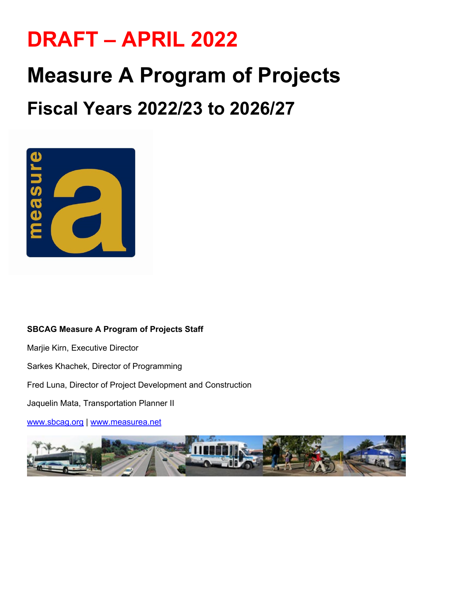# **DRAFT – APRIL 2022**

# **Measure A Program of Projects**

## **Fiscal Years 2022/23 to 2026/27**



#### **SBCAG Measure A Program of Projects Staff**

Marjie Kirn, Executive Director

Sarkes Khachek, Director of Programming

Fred Luna, Director of Project Development and Construction

Jaquelin Mata, Transportation Planner II

[www.sbcag.org](http://www.sbcag.org/) | [www.measurea.net](http://www.measurea.net/) 

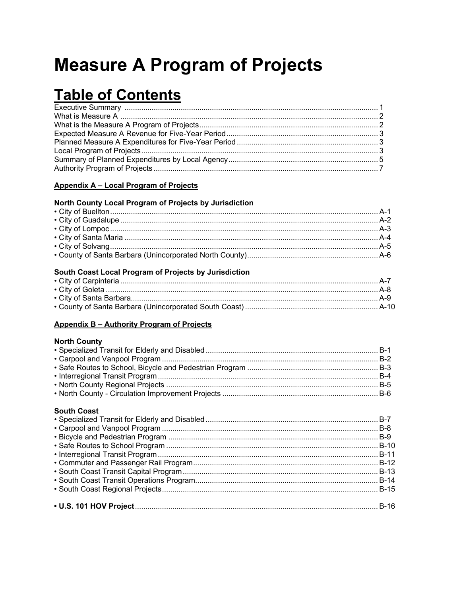## **Measure A Program of Projects**

## **Table of Contents**

#### Appendix A - Local Program of Projects

#### North County Local Program of Projects by Jurisdiction

#### South Coast Local Program of Projects by Jurisdiction

#### Appendix B - Authority Program of Projects

#### **North County**

| . |  |
|---|--|
|   |  |
|   |  |
|   |  |
|   |  |
|   |  |
|   |  |
|   |  |

#### **South Coast**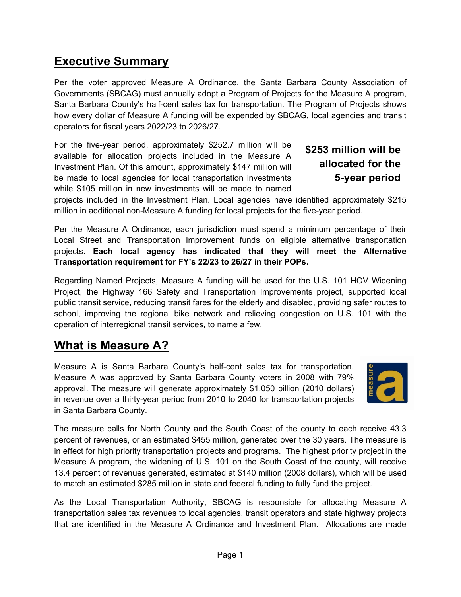## **Executive Summary**

Per the voter approved Measure A Ordinance, the Santa Barbara County Association of Governments (SBCAG) must annually adopt a Program of Projects for the Measure A program, Santa Barbara County's half-cent sales tax for transportation. The Program of Projects shows how every dollar of Measure A funding will be expended by SBCAG, local agencies and transit operators for fiscal years 2022/23 to 2026/27.

For the five-year period, approximately \$252.7 million will be available for allocation projects included in the Measure A Investment Plan. Of this amount, approximately \$147 million will be made to local agencies for local transportation investments while \$105 million in new investments will be made to named

### **\$253 million will be allocated for the 5-year period**

projects included in the Investment Plan. Local agencies have identified approximately \$215 million in additional non-Measure A funding for local projects for the five-year period.

Per the Measure A Ordinance, each jurisdiction must spend a minimum percentage of their Local Street and Transportation Improvement funds on eligible alternative transportation projects. **Each local agency has indicated that they will meet the Alternative Transportation requirement for FY's 22/23 to 26/27 in their POPs.**

Regarding Named Projects, Measure A funding will be used for the U.S. 101 HOV Widening Project, the Highway 166 Safety and Transportation Improvements project, supported local public transit service, reducing transit fares for the elderly and disabled, providing safer routes to school, improving the regional bike network and relieving congestion on U.S. 101 with the operation of interregional transit services, to name a few.

## **What is Measure A?**

Measure A is Santa Barbara County's half-cent sales tax for transportation. Measure A was approved by Santa Barbara County voters in 2008 with 79% approval. The measure will generate approximately \$1.050 billion (2010 dollars) in revenue over a thirty-year period from 2010 to 2040 for transportation projects in Santa Barbara County.



The measure calls for North County and the South Coast of the county to each receive 43.3 percent of revenues, or an estimated \$455 million, generated over the 30 years. The measure is in effect for high priority transportation projects and programs. The highest priority project in the Measure A program, the widening of U.S. 101 on the South Coast of the county, will receive 13.4 percent of revenues generated, estimated at \$140 million (2008 dollars), which will be used to match an estimated \$285 million in state and federal funding to fully fund the project.

As the Local Transportation Authority, SBCAG is responsible for allocating Measure A transportation sales tax revenues to local agencies, transit operators and state highway projects that are identified in the Measure A Ordinance and Investment Plan. Allocations are made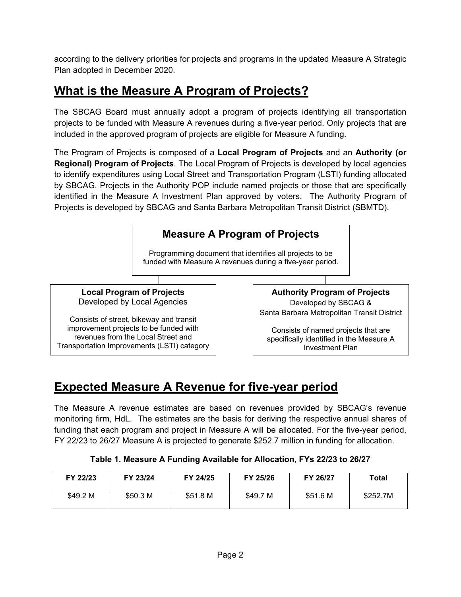according to the delivery priorities for projects and programs in the updated Measure A Strategic Plan adopted in December 2020.

## **What is the Measure A Program of Projects?**

The SBCAG Board must annually adopt a program of projects identifying all transportation projects to be funded with Measure A revenues during a five-year period. Only projects that are included in the approved program of projects are eligible for Measure A funding.

The Program of Projects is composed of a **Local Program of Projects** and an **Authority (or Regional) Program of Projects**. The Local Program of Projects is developed by local agencies to identify expenditures using Local Street and Transportation Program (LSTI) funding allocated by SBCAG. Projects in the Authority POP include named projects or those that are specifically identified in the Measure A Investment Plan approved by voters. The Authority Program of Projects is developed by SBCAG and Santa Barbara Metropolitan Transit District (SBMTD).



## **Expected Measure A Revenue for five-year period**

The Measure A revenue estimates are based on revenues provided by SBCAG's revenue monitoring firm, HdL. The estimates are the basis for deriving the respective annual shares of funding that each program and project in Measure A will be allocated. For the five-year period, FY 22/23 to 26/27 Measure A is projected to generate \$252.7 million in funding for allocation.

#### **Table 1. Measure A Funding Available for Allocation, FYs 22/23 to 26/27**

| FY 22/23 | FY 23/24 | FY 24/25 | FY 25/26 | FY 26/27 | Total    |
|----------|----------|----------|----------|----------|----------|
| \$49.2 M | \$50.3 M | \$51.8 M | \$49.7 M | \$51.6 M | \$252.7M |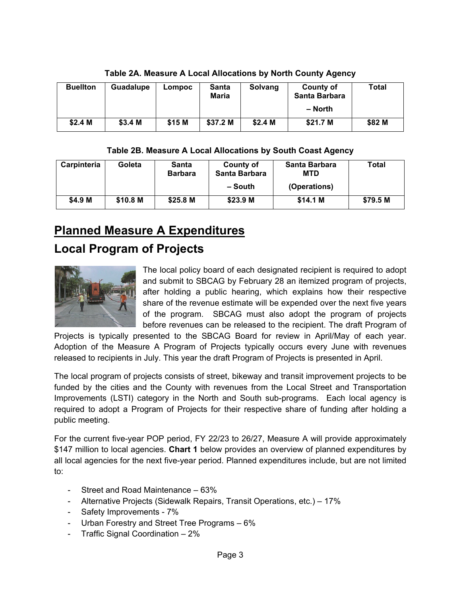| <b>Buellton</b> | Guadalupe | Lompoc | <b>Santa</b><br><b>Maria</b> | Solvang            | <b>County of</b><br>Santa Barbara<br>– North | Total  |
|-----------------|-----------|--------|------------------------------|--------------------|----------------------------------------------|--------|
| \$2.4 M         | \$3.4 M   | \$15 M | \$37.2 M                     | \$2.4 <sub>M</sub> | \$21.7 M                                     | \$82 M |

**Table 2A. Measure A Local Allocations by North County Agency**

#### **Table 2B. Measure A Local Allocations by South Coast Agency**

| Carpinteria | Goleta   | Santa<br><b>Barbara</b> | <b>County of</b><br>Santa Barbara | Santa Barbara<br><b>MTD</b> | Total    |
|-------------|----------|-------------------------|-----------------------------------|-----------------------------|----------|
|             |          |                         | – South                           | (Operations)                |          |
| \$4.9 M     | \$10.8 M | \$25.8 M                | \$23.9 M                          | \$14.1 M                    | \$79.5 M |

## **Planned Measure A Expenditures**

## **Local Program of Projects**



The local policy board of each designated recipient is required to adopt and submit to SBCAG by February 28 an itemized program of projects, after holding a public hearing, which explains how their respective share of the revenue estimate will be expended over the next five years of the program. SBCAG must also adopt the program of projects before revenues can be released to the recipient. The draft Program of

Projects is typically presented to the SBCAG Board for review in April/May of each year. Adoption of the Measure A Program of Projects typically occurs every June with revenues released to recipients in July. This year the draft Program of Projects is presented in April.

The local program of projects consists of street, bikeway and transit improvement projects to be funded by the cities and the County with revenues from the Local Street and Transportation Improvements (LSTI) category in the North and South sub-programs. Each local agency is required to adopt a Program of Projects for their respective share of funding after holding a public meeting.

For the current five-year POP period, FY 22/23 to 26/27, Measure A will provide approximately \$147 million to local agencies. **Chart 1** below provides an overview of planned expenditures by all local agencies for the next five-year period. Planned expenditures include, but are not limited to:

- Street and Road Maintenance 63%
- Alternative Projects (Sidewalk Repairs, Transit Operations, etc.) 17%
- Safety Improvements 7%
- Urban Forestry and Street Tree Programs 6%
- Traffic Signal Coordination 2%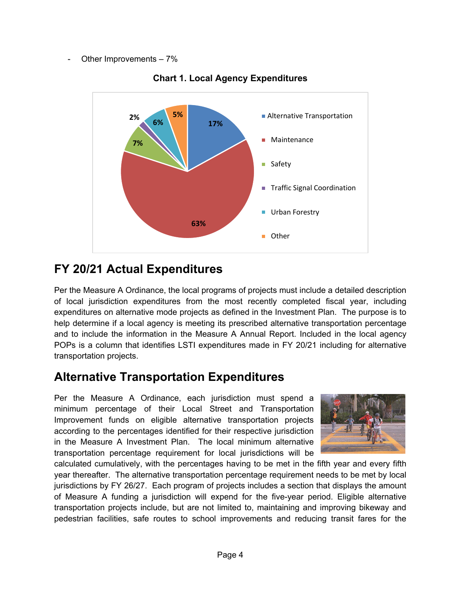Other Improvements  $-7%$ 



**Chart 1. Local Agency Expenditures**

## **FY 20/21 Actual Expenditures**

Per the Measure A Ordinance, the local programs of projects must include a detailed description of local jurisdiction expenditures from the most recently completed fiscal year, including expenditures on alternative mode projects as defined in the Investment Plan. The purpose is to help determine if a local agency is meeting its prescribed alternative transportation percentage and to include the information in the Measure A Annual Report. Included in the local agency POPs is a column that identifies LSTI expenditures made in FY 20/21 including for alternative transportation projects.

## **Alternative Transportation Expenditures**

Per the Measure A Ordinance, each jurisdiction must spend a minimum percentage of their Local Street and Transportation Improvement funds on eligible alternative transportation projects according to the percentages identified for their respective jurisdiction in the Measure A Investment Plan. The local minimum alternative transportation percentage requirement for local jurisdictions will be



calculated cumulatively, with the percentages having to be met in the fifth year and every fifth year thereafter. The alternative transportation percentage requirement needs to be met by local jurisdictions by FY 26/27. Each program of projects includes a section that displays the amount of Measure A funding a jurisdiction will expend for the five-year period. Eligible alternative transportation projects include, but are not limited to, maintaining and improving bikeway and pedestrian facilities, safe routes to school improvements and reducing transit fares for the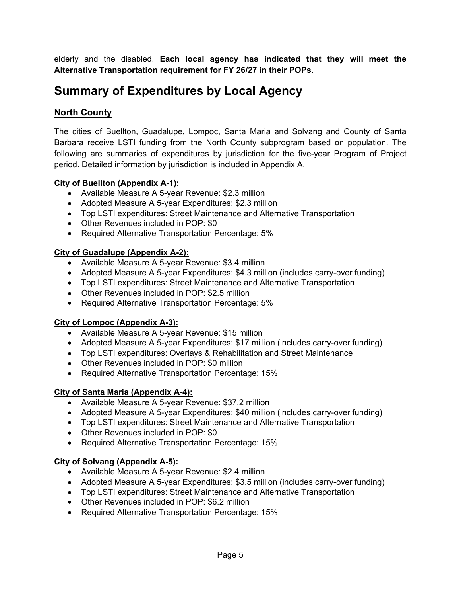elderly and the disabled. **Each local agency has indicated that they will meet the Alternative Transportation requirement for FY 26/27 in their POPs.**

## **Summary of Expenditures by Local Agency**

#### **North County**

The cities of Buellton, Guadalupe, Lompoc, Santa Maria and Solvang and County of Santa Barbara receive LSTI funding from the North County subprogram based on population. The following are summaries of expenditures by jurisdiction for the five-year Program of Project period. Detailed information by jurisdiction is included in Appendix A.

#### **City of Buellton (Appendix A-1):**

- Available Measure A 5-year Revenue: \$2.3 million
- Adopted Measure A 5-year Expenditures: \$2.3 million
- Top LSTI expenditures: Street Maintenance and Alternative Transportation
- Other Revenues included in POP: \$0
- Required Alternative Transportation Percentage: 5%

#### **City of Guadalupe (Appendix A-2):**

- Available Measure A 5-year Revenue: \$3.4 million
- Adopted Measure A 5-year Expenditures: \$4.3 million (includes carry-over funding)
- Top LSTI expenditures: Street Maintenance and Alternative Transportation
- Other Revenues included in POP: \$2.5 million
- Required Alternative Transportation Percentage: 5%

#### **City of Lompoc (Appendix A-3):**

- Available Measure A 5-year Revenue: \$15 million
- Adopted Measure A 5-year Expenditures: \$17 million (includes carry-over funding)
- Top LSTI expenditures: Overlays & Rehabilitation and Street Maintenance
- Other Revenues included in POP: \$0 million
- Required Alternative Transportation Percentage: 15%

#### **City of Santa Maria (Appendix A-4):**

- Available Measure A 5-year Revenue: \$37.2 million
- Adopted Measure A 5-year Expenditures: \$40 million (includes carry-over funding)
- Top LSTI expenditures: Street Maintenance and Alternative Transportation
- Other Revenues included in POP: \$0
- Required Alternative Transportation Percentage: 15%

#### **City of Solvang (Appendix A-5):**

- Available Measure A 5-year Revenue: \$2.4 million
- Adopted Measure A 5-year Expenditures: \$3.5 million (includes carry-over funding)
- Top LSTI expenditures: Street Maintenance and Alternative Transportation
- Other Revenues included in POP: \$6.2 million
- Required Alternative Transportation Percentage: 15%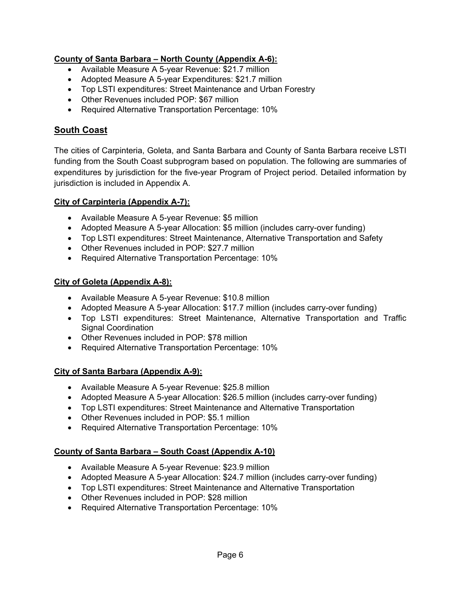#### **County of Santa Barbara – North County (Appendix A-6):**

- Available Measure A 5-year Revenue: \$21.7 million
- Adopted Measure A 5-year Expenditures: \$21.7 million
- Top LSTI expenditures: Street Maintenance and Urban Forestry
- Other Revenues included POP: \$67 million
- Required Alternative Transportation Percentage: 10%

#### **South Coast**

The cities of Carpinteria, Goleta, and Santa Barbara and County of Santa Barbara receive LSTI funding from the South Coast subprogram based on population. The following are summaries of expenditures by jurisdiction for the five-year Program of Project period. Detailed information by jurisdiction is included in Appendix A.

#### **City of Carpinteria (Appendix A-7):**

- Available Measure A 5-year Revenue: \$5 million
- Adopted Measure A 5-year Allocation: \$5 million (includes carry-over funding)
- Top LSTI expenditures: Street Maintenance, Alternative Transportation and Safety
- Other Revenues included in POP: \$27.7 million
- Required Alternative Transportation Percentage: 10%

#### **City of Goleta (Appendix A-8):**

- Available Measure A 5-year Revenue: \$10.8 million
- Adopted Measure A 5-year Allocation: \$17.7 million (includes carry-over funding)
- Top LSTI expenditures: Street Maintenance, Alternative Transportation and Traffic Signal Coordination
- Other Revenues included in POP: \$78 million
- Required Alternative Transportation Percentage: 10%

#### **City of Santa Barbara (Appendix A-9):**

- Available Measure A 5-year Revenue: \$25.8 million
- Adopted Measure A 5-year Allocation: \$26.5 million (includes carry-over funding)
- Top LSTI expenditures: Street Maintenance and Alternative Transportation
- Other Revenues included in POP: \$5.1 million
- Required Alternative Transportation Percentage: 10%

#### **County of Santa Barbara – South Coast (Appendix A-10)**

- Available Measure A 5-year Revenue: \$23.9 million
- Adopted Measure A 5-year Allocation: \$24.7 million (includes carry-over funding)
- Top LSTI expenditures: Street Maintenance and Alternative Transportation
- Other Revenues included in POP: \$28 million
- Required Alternative Transportation Percentage: 10%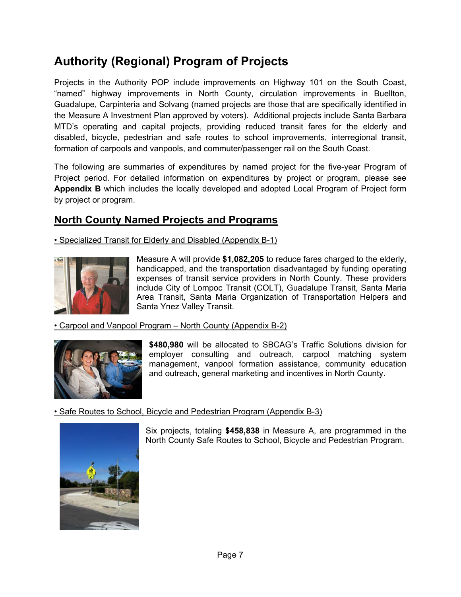## **Authority (Regional) Program of Projects**

Projects in the Authority POP include improvements on Highway 101 on the South Coast, "named" highway improvements in North County, circulation improvements in Buellton, Guadalupe, Carpinteria and Solvang (named projects are those that are specifically identified in the Measure A Investment Plan approved by voters). Additional projects include Santa Barbara MTD's operating and capital projects, providing reduced transit fares for the elderly and disabled, bicycle, pedestrian and safe routes to school improvements, interregional transit, formation of carpools and vanpools, and commuter/passenger rail on the South Coast.

The following are summaries of expenditures by named project for the five-year Program of Project period. For detailed information on expenditures by project or program, please see **Appendix B** which includes the locally developed and adopted Local Program of Project form by project or program.

### **North County Named Projects and Programs**

• Specialized Transit for Elderly and Disabled (Appendix B-1)



Measure A will provide **\$1,082,205** to reduce fares charged to the elderly, handicapped, and the transportation disadvantaged by funding operating expenses of transit service providers in North County. These providers include City of Lompoc Transit (COLT), Guadalupe Transit, Santa Maria Area Transit, Santa Maria Organization of Transportation Helpers and Santa Ynez Valley Transit.

• Carpool and Vanpool Program – North County (Appendix B-2)



**\$480,980** will be allocated to SBCAG's Traffic Solutions division for employer consulting and outreach, carpool matching system management, vanpool formation assistance, community education and outreach, general marketing and incentives in North County.

• Safe Routes to School, Bicycle and Pedestrian Program (Appendix B-3)



Six projects, totaling **\$458,838** in Measure A, are programmed in the North County Safe Routes to School, Bicycle and Pedestrian Program.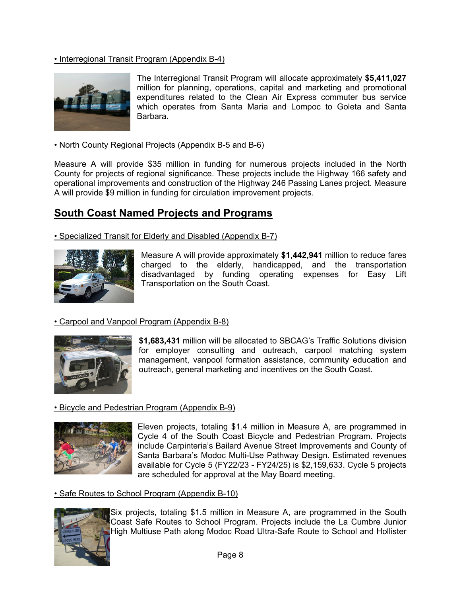#### • Interregional Transit Program (Appendix B-4)



The Interregional Transit Program will allocate approximately **\$5,411,027** million for planning, operations, capital and marketing and promotional expenditures related to the Clean Air Express commuter bus service which operates from Santa Maria and Lompoc to Goleta and Santa Barbara.

#### • North County Regional Projects (Appendix B-5 and B-6)

Measure A will provide \$35 million in funding for numerous projects included in the North County for projects of regional significance. These projects include the Highway 166 safety and operational improvements and construction of the Highway 246 Passing Lanes project. Measure A will provide \$9 million in funding for circulation improvement projects.

#### **South Coast Named Projects and Programs**

• Specialized Transit for Elderly and Disabled (Appendix B-7)



Measure A will provide approximately **\$1,442,941** million to reduce fares charged to the elderly, handicapped, and the transportation disadvantaged by funding operating expenses for Easy Lift Transportation on the South Coast.

#### • Carpool and Vanpool Program (Appendix B-8)



**\$1,683,431** million will be allocated to SBCAG's Traffic Solutions division for employer consulting and outreach, carpool matching system management, vanpool formation assistance, community education and outreach, general marketing and incentives on the South Coast.

#### • Bicycle and Pedestrian Program (Appendix B-9)



Eleven projects, totaling \$1.4 million in Measure A, are programmed in Cycle 4 of the South Coast Bicycle and Pedestrian Program. Projects include Carpinteria's Bailard Avenue Street Improvements and County of Santa Barbara's Modoc Multi-Use Pathway Design. Estimated revenues available for Cycle 5 (FY22/23 - FY24/25) is \$2,159,633. Cycle 5 projects are scheduled for approval at the May Board meeting.

#### • Safe Routes to School Program (Appendix B-10)



Six projects, totaling \$1.5 million in Measure A, are programmed in the South Coast Safe Routes to School Program. Projects include the La Cumbre Junior High Multiuse Path along Modoc Road Ultra-Safe Route to School and Hollister